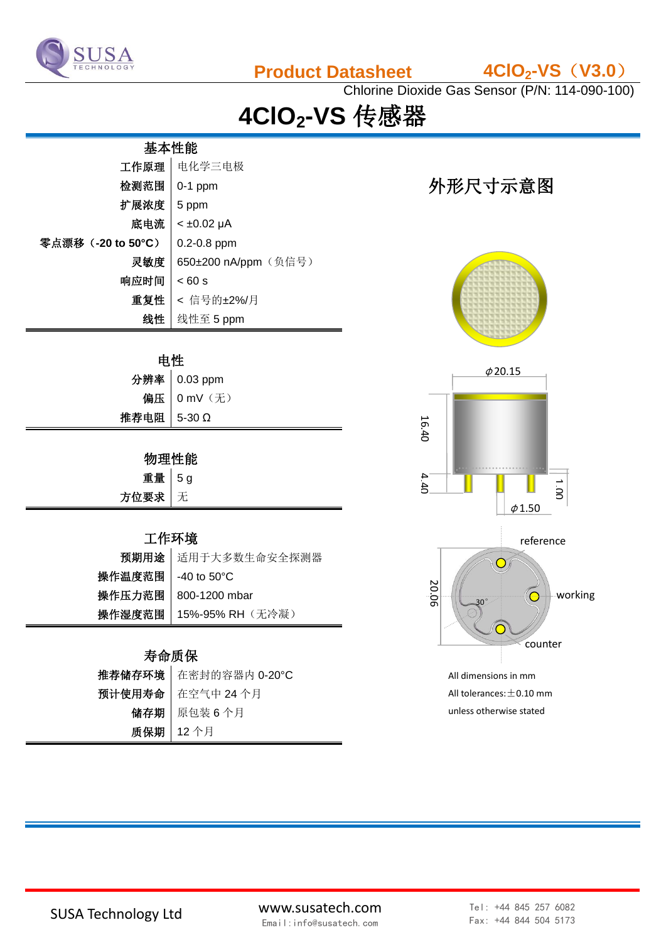

**Product Datasheet 4ClO2-VS**(**V3.0**)

Chlorine Dioxide Gas Sensor (P/N: 114-090-100)

# **4ClO2-VS** 传感器

| 基本性能               |                      |  |
|--------------------|----------------------|--|
| 工作原理               | 电化学三电极               |  |
| 检测范围               | $0-1$ ppm            |  |
| 扩展浓度               | 5 ppm                |  |
| 底电流                | $< \pm 0.02 \mu A$   |  |
| 零点漂移 (-20 to 50°C) | $0.2 - 0.8$ ppm      |  |
| 灵敏度                | 650±200 nA/ppm (负信号) |  |
| 响应时间               | < 60 s               |  |
| 重复性                | < 信号的±2%/月           |  |
| 线性                 | 线性至 5 ppm            |  |

#### 电性

|             | 分辨率 0.03 ppm |
|-------------|--------------|
|             | 偏压 0 mV (无)  |
| 推荐电阻 5-30 Ω |              |

### 物理性能

| 重量    | ā<br>5 |
|-------|--------|
| 方位要求丨 |        |

#### 工作环境

|                     | 预期用途 适用于大多数生命安全探测器               |
|---------------------|----------------------------------|
| 操作温度范围   -40 to 50℃ |                                  |
|                     | 操作压力范围   800-1200 mbar           |
|                     | <b>操作湿度范围   15%-95% RH</b> (无冷凝) |

#### 寿命质保

| 推荐储存环境   在密封的容器内 0-20°C |
|-------------------------|
| 预计使用寿命   在空气中 24 个月     |
| 储存期   原包装6个月            |
| 质保期   12个月              |

# 外形尺寸示意图





unless otherwise stated

SUSA Technology Ltd www.susatech.com Email:info@susatech.com